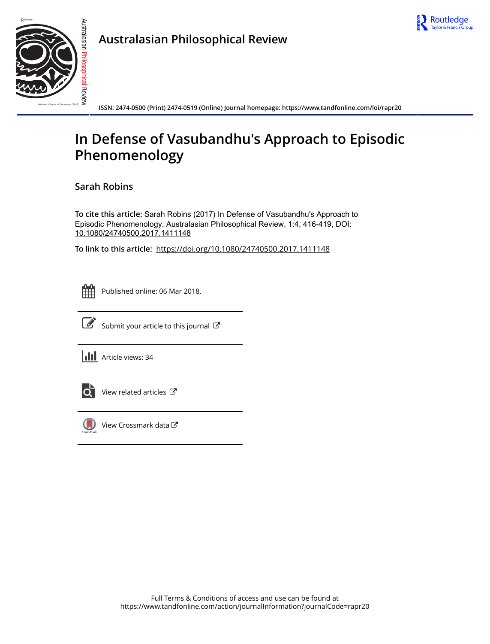



**Australasian Philosophical Review**

**ISSN: 2474-0500 (Print) 2474-0519 (Online) Journal homepage:<https://www.tandfonline.com/loi/rapr20>**

# **In Defense of Vasubandhu's Approach to Episodic Phenomenology**

**Sarah Robins**

**To cite this article:** Sarah Robins (2017) In Defense of Vasubandhu's Approach to Episodic Phenomenology, Australasian Philosophical Review, 1:4, 416-419, DOI: [10.1080/24740500.2017.1411148](https://www.tandfonline.com/action/showCitFormats?doi=10.1080/24740500.2017.1411148)

**To link to this article:** <https://doi.org/10.1080/24740500.2017.1411148>

|  | - |  |
|--|---|--|
|  |   |  |
|  |   |  |
|  |   |  |

Published online: 06 Mar 2018.



 $\overline{\mathscr{L}}$  [Submit your article to this journal](https://www.tandfonline.com/action/authorSubmission?journalCode=rapr20&show=instructions)  $\mathbb{Z}$ 

**III** Article views: 34



 $\overline{Q}$  [View related articles](https://www.tandfonline.com/doi/mlt/10.1080/24740500.2017.1411148)  $\overline{C}$ 



[View Crossmark data](http://crossmark.crossref.org/dialog/?doi=10.1080/24740500.2017.1411148&domain=pdf&date_stamp=2018-03-06)  $\sigma$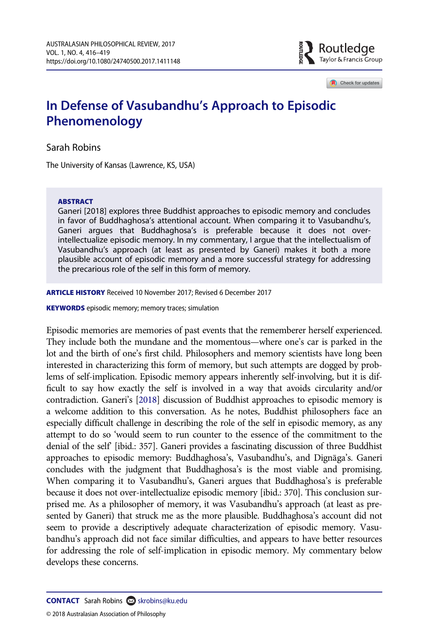

Check for updates

## In Defense of Vasubandhu's Approach to Episodic Phenomenology

Sarah Robins

The University of Kansas (Lawrence, KS, USA)

#### ABSTRACT

Ganeri [2018] explores three Buddhist approaches to episodic memory and concludes in favor of Buddhaghosa's attentional account. When comparing it to Vasubandhu's, Ganeri argues that Buddhaghosa's is preferable because it does not overintellectualize episodic memory. In my commentary, I argue that the intellectualism of Vasubandhu's approach (at least as presented by Ganeri) makes it both a more plausible account of episodic memory and a more successful strategy for addressing the precarious role of the self in this form of memory.

ARTICLE HISTORY Received 10 November 2017; Revised 6 December 2017

KEYWORDS episodic memory; memory traces; simulation

<span id="page-1-0"></span>Episodic memories are memories of past events that the rememberer herself experienced. They include both the mundane and the momentous—where one's car is parked in the lot and the birth of one's first child. Philosophers and memory scientists have long been interested in characterizing this form of memory, but such attempts are dogged by problems of self-implication. Episodic memory appears inherently self-involving, but it is difficult to say how exactly the self is involved in a way that avoids circularity and/or contradiction. Ganeri's [\[2018\]](#page-4-0) discussion of Buddhist approaches to episodic memory is a welcome addition to this conversation. As he notes, Buddhist philosophers face an especially difficult challenge in describing the role of the self in episodic memory, as any attempt to do so 'would seem to run counter to the essence of the commitment to the denial of the self' [ibid.: 357]. Ganeri provides a fascinating discussion of three Buddhist approaches to episodic memory: Buddhaghosa's, Vasubandhu's, and Dignāga's. Ganeri concludes with the judgment that Buddhaghosa's is the most viable and promising. When comparing it to Vasubandhu's, Ganeri argues that Buddhaghosa's is preferable because it does not over-intellectualize episodic memory [ibid.: 370]. This conclusion surprised me. As a philosopher of memory, it was Vasubandhu's approach (at least as presented by Ganeri) that struck me as the more plausible. Buddhaghosa's account did not seem to provide a descriptively adequate characterization of episodic memory. Vasubandhu's approach did not face similar difficulties, and appears to have better resources for addressing the role of self-implication in episodic memory. My commentary below develops these concerns.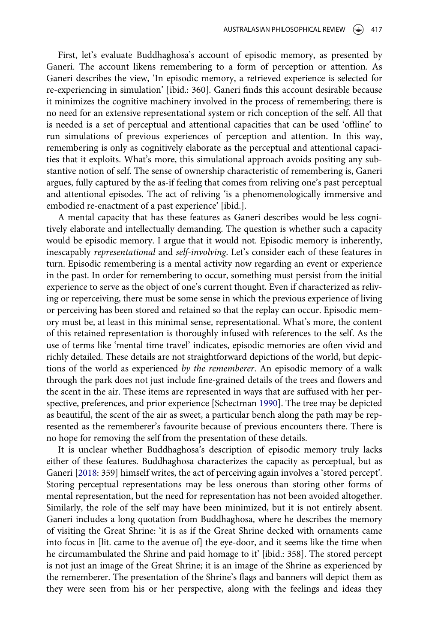First, let's evaluate Buddhaghosa's account of episodic memory, as presented by Ganeri. The account likens remembering to a form of perception or attention. As Ganeri describes the view, 'In episodic memory, a retrieved experience is selected for re-experiencing in simulation' [ibid.: 360]. Ganeri finds this account desirable because it minimizes the cognitive machinery involved in the process of remembering; there is no need for an extensive representational system or rich conception of the self. All that is needed is a set of perceptual and attentional capacities that can be used 'offline' to run simulations of previous experiences of perception and attention. In this way, remembering is only as cognitively elaborate as the perceptual and attentional capacities that it exploits. What's more, this simulational approach avoids positing any substantive notion of self. The sense of ownership characteristic of remembering is, Ganeri argues, fully captured by the as-if feeling that comes from reliving one's past perceptual and attentional episodes. The act of reliving 'is a phenomenologically immersive and embodied re-enactment of a past experience' [ibid.].

A mental capacity that has these features as Ganeri describes would be less cognitively elaborate and intellectually demanding. The question is whether such a capacity would be episodic memory. I argue that it would not. Episodic memory is inherently, inescapably representational and self-involving. Let's consider each of these features in turn. Episodic remembering is a mental activity now regarding an event or experience in the past. In order for remembering to occur, something must persist from the initial experience to serve as the object of one's current thought. Even if characterized as reliving or reperceiving, there must be some sense in which the previous experience of living or perceiving has been stored and retained so that the replay can occur. Episodic memory must be, at least in this minimal sense, representational. What's more, the content of this retained representation is thoroughly infused with references to the self. As the use of terms like 'mental time travel' indicates, episodic memories are often vivid and richly detailed. These details are not straightforward depictions of the world, but depictions of the world as experienced by the rememberer. An episodic memory of a walk through the park does not just include fine-grained details of the trees and flowers and the scent in the air. These items are represented in ways that are suffused with her perspective, preferences, and prior experience [Schectman [1990](#page-4-1)]. The tree may be depicted as beautiful, the scent of the air as sweet, a particular bench along the path may be represented as the rememberer's favourite because of previous encounters there. There is no hope for removing the self from the presentation of these details.

<span id="page-2-0"></span>It is unclear whether Buddhaghosa's description of episodic memory truly lacks either of these features. Buddhaghosa characterizes the capacity as perceptual, but as Ganeri [[2018:](#page-4-0) 359] himself writes, the act of perceiving again involves a 'stored percept'. Storing perceptual representations may be less onerous than storing other forms of mental representation, but the need for representation has not been avoided altogether. Similarly, the role of the self may have been minimized, but it is not entirely absent. Ganeri includes a long quotation from Buddhaghosa, where he describes the memory of visiting the Great Shrine: 'it is as if the Great Shrine decked with ornaments came into focus in [lit. came to the avenue of] the eye-door, and it seems like the time when he circumambulated the Shrine and paid homage to it' [ibid.: 358]. The stored percept is not just an image of the Great Shrine; it is an image of the Shrine as experienced by the rememberer. The presentation of the Shrine's flags and banners will depict them as they were seen from his or her perspective, along with the feelings and ideas they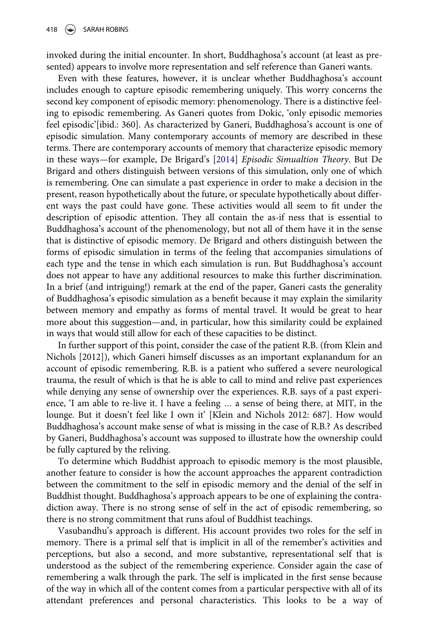invoked during the initial encounter. In short, Buddhaghosa's account (at least as presented) appears to involve more representation and self reference than Ganeri wants.

<span id="page-3-0"></span>Even with these features, however, it is unclear whether Buddhaghosa's account includes enough to capture episodic remembering uniquely. This worry concerns the second key component of episodic memory: phenomenology. There is a distinctive feeling to episodic remembering. As Ganeri quotes from Dokic, 'only episodic memories feel episodic'[ibid.: 360]. As characterized by Ganeri, Buddhaghosa's account is one of episodic simulation. Many contemporary accounts of memory are described in these terms. There are contemporary accounts of memory that characterize episodic memory in these ways—for example, De Brigard's [\[2014](#page-4-2)] Episodic Simualtion Theory. But De Brigard and others distinguish between versions of this simulation, only one of which is remembering. One can simulate a past experience in order to make a decision in the present, reason hypothetically about the future, or speculate hypothetically about different ways the past could have gone. These activities would all seem to fit under the description of episodic attention. They all contain the as-if ness that is essential to Buddhaghosa's account of the phenomenology, but not all of them have it in the sense that is distinctive of episodic memory. De Brigard and others distinguish between the forms of episodic simulation in terms of the feeling that accompanies simulations of each type and the tense in which each simulation is run. But Buddhaghosa's account does not appear to have any additional resources to make this further discrimination. In a brief (and intriguing!) remark at the end of the paper, Ganeri casts the generality of Buddhaghosa's episodic simulation as a benefit because it may explain the similarity between memory and empathy as forms of mental travel. It would be great to hear more about this suggestion—and, in particular, how this similarity could be explained in ways that would still allow for each of these capacities to be distinct.

In further support of this point, consider the case of the patient R.B. (from Klein and Nichols [2012]), which Ganeri himself discusses as an important explanandum for an account of episodic remembering. R.B. is a patient who suffered a severe neurological trauma, the result of which is that he is able to call to mind and relive past experiences while denying any sense of ownership over the experiences. R.B. says of a past experience, 'I am able to re-live it. I have a feeling … a sense of being there, at MIT, in the lounge. But it doesn't feel like I own it' [Klein and Nichols 2012: 687]. How would Buddhaghosa's account make sense of what is missing in the case of R.B.? As described by Ganeri, Buddhaghosa's account was supposed to illustrate how the ownership could be fully captured by the reliving.

To determine which Buddhist approach to episodic memory is the most plausible, another feature to consider is how the account approaches the apparent contradiction between the commitment to the self in episodic memory and the denial of the self in Buddhist thought. Buddhaghosa's approach appears to be one of explaining the contradiction away. There is no strong sense of self in the act of episodic remembering, so there is no strong commitment that runs afoul of Buddhist teachings.

Vasubandhu's approach is different. His account provides two roles for the self in memory. There is a primal self that is implicit in all of the remember's activities and perceptions, but also a second, and more substantive, representational self that is understood as the subject of the remembering experience. Consider again the case of remembering a walk through the park. The self is implicated in the first sense because of the way in which all of the content comes from a particular perspective with all of its attendant preferences and personal characteristics. This looks to be a way of